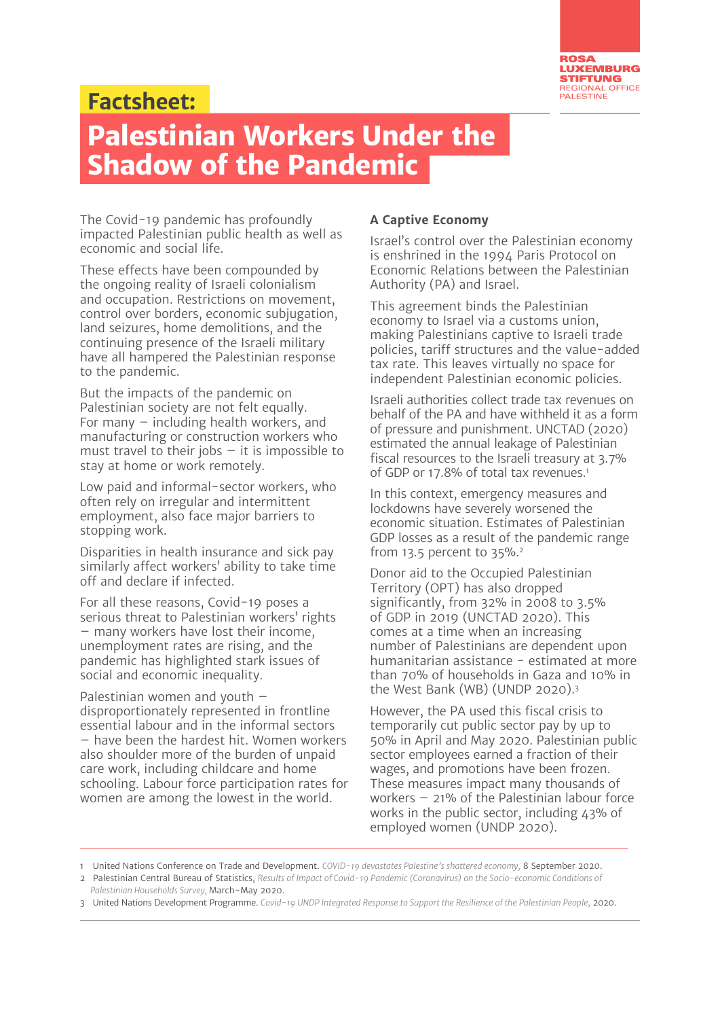

## **:Factsheet**

## **Palestinian Workers Under the Shadow of the Pandemic**

The Covid-19 pandemic has profoundly impacted Palestinian public health as well as economic and social life.

These effects have been compounded by the ongoing reality of Israeli colonialism and occupation. Restrictions on movement, control over borders, economic subjugation, land seizures, home demolitions, and the continuing presence of the Israeli military have all hampered the Palestinian response to the pandemic.

But the impacts of the pandemic on Palestinian society are not felt equally. For many  $-$  including health workers, and manufacturing or construction workers who must travel to their jobs  $-$  it is impossible to stay at home or work remotely.

Low paid and informal-sector workers, who often rely on irregular and intermittent employment, also face major barriers to stopping work.

Disparities in health insurance and sick pay similarly affect workers' ability to take time off and declare if infected.

For all these reasons, Covid-19 poses a serious threat to Palestinian workers' rights  $-$  many workers have lost their income, unemployment rates are rising, and the pandemic has highlighted stark issues of social and economic inequality.

Palestinian women and youth  $$ disproportionately represented in frontline essential labour and in the informal sectors  $-$  have been the hardest hit. Women workers also shoulder more of the burden of unpaid care work, including childcare and home schooling. Labour force participation rates for women are among the lowest in the world.

## **A Captive Economy**

Israel's control over the Palestinian economy is enshrined in the 1994 Paris Protocol on Economic Relations between the Palestinian Authority (PA) and Israel.

This agreement binds the Palestinian economy to Israel via a customs union, making Palestinians captive to Israeli trade policies, tariff structures and the value-added tax rate. This leaves virtually no space for independent Palestinian economic policies.

Israeli authorities collect trade tax revenues on behalf of the PA and have withheld it as a form of pressure and punishment. UNCTAD (2020) estimated the annual leakage of Palestinian fiscal resources to the Israeli treasury at 3.7% of GDP or 17.8% of total tax revenues.<sup>1</sup>

In this context, emergency measures and lockdowns have severely worsened the economic situation. Estimates of Palestinian GDP losses as a result of the pandemic range from 13.5 percent to  $35\%$ .<sup>2</sup>

Donor aid to the Occupied Palestinian Territory (OPT) has also dropped significantly, from  $32\%$  in 2008 to  $3.5\%$ of GDP in 2019 (UNCTAD 2020). This comes at a time when an increasing number of Palestinians are dependent upon humanitarian assistance - estimated at more than 70% of households in Gaza and 10% in the West Bank (WB) (UNDP 2020). $3$ 

However, the PA used this fiscal crisis to temporarily cut public sector pay by up to 50% in April and May 2020. Palestinian public sector employees earned a fraction of their wages, and promotions have been frozen. These measures impact many thousands of workers  $-21%$  of the Palestinian labour force works in the public sector, including  $43%$  of employed women (UNDP 2020).

<sup>1</sup> United Nations Conference on Trade and Development. COVID-19 devastates Palestine's shattered economy, 8 September 2020.

<sup>2</sup> Palestinian Central Bureau of Statistics, Results of Impact of Covid-19 Pandemic (Coronavirus) on the Socio-economic Conditions of Palestinian Households Survey, March-May 2020.

<sup>3</sup> United Nations Development Programme. Covid-19 UNDP Integrated Response to Support the Resilience of the Palestinian People, 2020.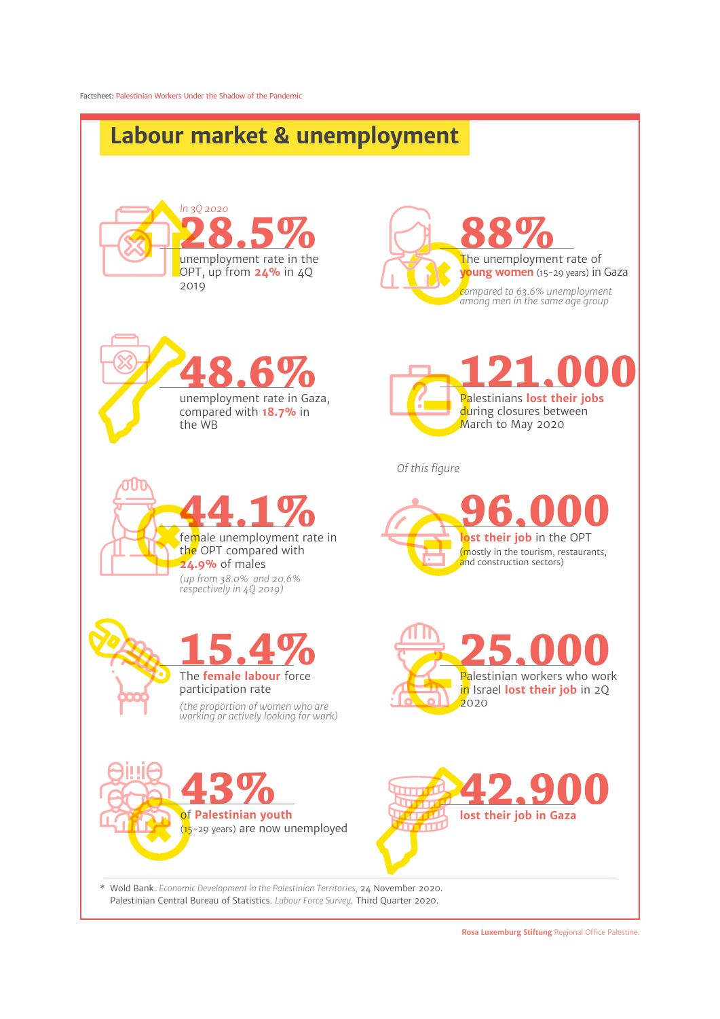

Palestinian Central Bureau of Statistics. Labour Force Survey. Third Quarter 2020.